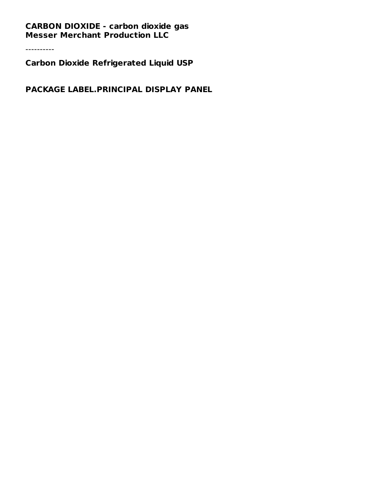## **CARBON DIOXIDE - carbon dioxide gas Messer Merchant Production LLC**

----------

**Carbon Dioxide Refrigerated Liquid USP**

**PACKAGE LABEL.PRINCIPAL DISPLAY PANEL**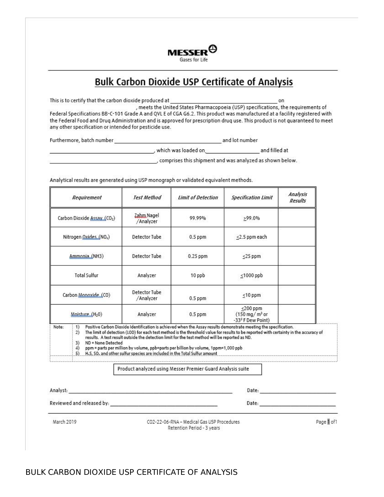

## **Bulk Carbon Dioxide USP Certificate of Analysis**

This is to certify that the carbon dioxide produced at on , meets the United States Pharmacopoeia (USP) specifications, the requirements of Federal Specifications BB-C-101 Grade A and QVL E of CGA G6.2. This product was manufactured at a facility registered with the Federal Food and Druq Administration and is approved for prescription druq use. This product is not quaranteed to meet any other specification or intended for pesticide use.

Furthermore, batch number and lot number

, which was loaded on a state of the and filled at

, comprises this shipment and was analyzed as shown below.

Analytical results are generated using USP monograph or validated equivalent methods.

| Requirement                        |                                                  | <b>Test Method</b>         | <b>Limit of Detection</b>                                                                                                                                                                                                                                         | <b>Specification Limit</b>                                                                                                                                                                                                                                | Analysis<br><b>Results</b> |
|------------------------------------|--------------------------------------------------|----------------------------|-------------------------------------------------------------------------------------------------------------------------------------------------------------------------------------------------------------------------------------------------------------------|-----------------------------------------------------------------------------------------------------------------------------------------------------------------------------------------------------------------------------------------------------------|----------------------------|
| Carbon Dioxide Assay (CO2)         |                                                  | Zahm Nagel<br>/Analyzer    | 99.99%                                                                                                                                                                                                                                                            | >99.0%                                                                                                                                                                                                                                                    |                            |
| Nitrogen Oxides (NO <sub>x</sub> ) |                                                  | Detector Tube              | $0.5$ ppm                                                                                                                                                                                                                                                         | $\leq$ 2.5 ppm each                                                                                                                                                                                                                                       |                            |
|                                    | Ammonia (NH3)                                    | Detector Tube              | $0.25$ ppm                                                                                                                                                                                                                                                        | $≤25$ ppm                                                                                                                                                                                                                                                 |                            |
|                                    | <b>Total Sulfur</b>                              | Analyzer                   | 10 ppb                                                                                                                                                                                                                                                            | $<$ 1000 ppb                                                                                                                                                                                                                                              |                            |
|                                    | Carbon Monoxide (CO)                             | Detector Tube<br>/Analyzer | $0.5$ ppm                                                                                                                                                                                                                                                         | $<$ 10 ppm                                                                                                                                                                                                                                                |                            |
| Moisture (H <sub>2</sub> 0)        |                                                  | Analyzer                   | $0.5$ ppm                                                                                                                                                                                                                                                         | $<$ 200 ppm<br>$(150 \text{ ma/m}^3)$ or<br>-33º F Dew Point)                                                                                                                                                                                             |                            |
| Note:                              | 1)<br>2)<br>ND = None Detected<br>3)<br>4)<br>5) |                            | results. A test result outside the detection limit for the test method will be reported as ND.<br>ppm = parts per million by volume, ppb=parts per billion by volume, 1ppm=1,000 ppb<br>H.S. SO, and other sulfur species are included in the Total Sulfur amount | Positive Carbon Dioxide Identification is achieved when the Assay results demonstrate meeting the specification.<br>The limit of detection (LOD) for each test method is the threshold value for results to be reported with certainty in the accuracy of |                            |
|                                    |                                                  |                            | Product analyzed using Messer Premier Guard Analysis suite                                                                                                                                                                                                        |                                                                                                                                                                                                                                                           |                            |
|                                    |                                                  |                            |                                                                                                                                                                                                                                                                   | Date: the contract of the contract of the contract of the contract of the contract of the contract of the contract of the contract of the contract of the contract of the contract of the contract of the contract of the cont                            |                            |
| Analyst:                           |                                                  |                            |                                                                                                                                                                                                                                                                   |                                                                                                                                                                                                                                                           |                            |

March 2019

CO2-22-06-RNA - Medical Gas USP Procedures Retention Period - 3 years

Page | of1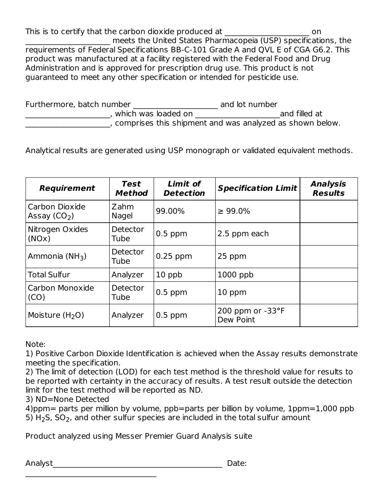This is to certify that the carbon dioxide produced at  $\qquad \qquad \text{on}$ meets the United States Pharmacopeia (USP) specifications, the requirements of Federal Specifications BB-C-101 Grade A and QVL E of CGA G6.2. This product was manufactured at a facility registered with the Federal Food and Drug Administration and is approved for prescription drug use. This product is not guaranteed to meet any other specification or intended for pesticide use.

| Furthermore, batch number |                                                          | and lot number |               |
|---------------------------|----------------------------------------------------------|----------------|---------------|
|                           | which was loaded on                                      |                | and filled at |
|                           | comprises this shipment and was analyzed as shown below. |                |               |

Analytical results are generated using USP monograph or validated equivalent methods.

| <b>Requirement</b>              | <b>Test</b><br><b>Method</b> | Limit of<br><b>Detection</b> | <b>Specification Limit</b>             | <b>Analysis</b><br><b>Results</b> |
|---------------------------------|------------------------------|------------------------------|----------------------------------------|-----------------------------------|
| Carbon Dioxide<br>Assay $(CO2)$ | Zahm<br>Nagel                | 99.00%                       | $\geq 99.0\%$                          |                                   |
| Nitrogen Oxides<br>(NOx)        | Detector<br>Tube             | $0.5$ ppm                    | 2.5 ppm each                           |                                   |
| Ammonia (NH <sub>3</sub> )      | Detector<br>Tube             | $0.25$ ppm                   | 25 ppm                                 |                                   |
| <b>Total Sulfur</b>             | Analyzer                     | 10 ppb                       | $1000$ ppb                             |                                   |
| Carbon Monoxide<br>(CO)         | Detector<br>Tube             | $0.5$ ppm                    | 10 ppm                                 |                                   |
| Moisture $(H2O)$                | Analyzer                     | $0.5$ ppm                    | 200 ppm or $-33^{\circ}F$<br>Dew Point |                                   |

Note:

1) Positive Carbon Dioxide Identification is achieved when the Assay results demonstrate meeting the specification.

2) The limit of detection (LOD) for each test method is the threshold value for results to be reported with certainty in the accuracy of results. A test result outside the detection limit for the test method will be reported as ND.

3) ND=None Detected

 $\mathcal{L}_\text{max}$  , where  $\mathcal{L}_\text{max}$  and  $\mathcal{L}_\text{max}$  and  $\mathcal{L}_\text{max}$ 

4)ppm= parts per million by volume, ppb=parts per billion by volume, 1ppm=1,000 ppb 5)  $H_2$ S, SO<sub>2</sub>, and other sulfur species are included in the total sulfur amount

Product analyzed using Messer Premier Guard Analysis suite

Analyst\_\_\_\_\_\_\_\_\_\_\_\_\_\_\_\_\_\_\_\_\_\_\_\_\_\_\_\_\_\_\_\_\_\_\_\_\_\_\_\_\_\_\_\_ Date: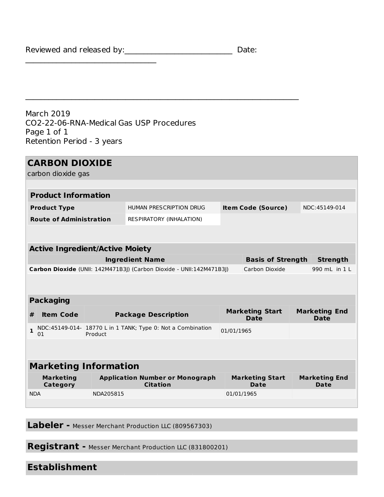Reviewed and released by:\_\_\_\_\_\_\_\_\_\_\_\_\_\_\_\_\_\_\_\_\_\_\_\_\_\_\_\_\_\_\_\_\_\_\_ Date:

 $\mathcal{L}_\text{max}$  , where  $\mathcal{L}_\text{max}$  and  $\mathcal{L}_\text{max}$  and  $\mathcal{L}_\text{max}$ 

March 2019 CO2-22-06-RNA-Medical Gas USP Procedures Page 1 of 1 Retention Period - 3 years

 $\mathcal{L}_\text{max}$  , and the contribution of the contribution of the contribution of the contribution of the contribution of the contribution of the contribution of the contribution of the contribution of the contribution of t

| <b>CARBON DIOXIDE</b>                  |                                                                         |                                                                      |                                       |                                |                                     |                                     |
|----------------------------------------|-------------------------------------------------------------------------|----------------------------------------------------------------------|---------------------------------------|--------------------------------|-------------------------------------|-------------------------------------|
| carbon dioxide gas                     |                                                                         |                                                                      |                                       |                                |                                     |                                     |
|                                        |                                                                         |                                                                      |                                       |                                |                                     |                                     |
| <b>Product Information</b>             |                                                                         |                                                                      |                                       |                                |                                     |                                     |
| <b>Product Type</b>                    |                                                                         | HUMAN PRESCRIPTION DRUG                                              | <b>Item Code (Source)</b>             |                                | NDC:45149-014                       |                                     |
| <b>Route of Administration</b>         |                                                                         | <b>RESPIRATORY (INHALATION)</b>                                      |                                       |                                |                                     |                                     |
|                                        |                                                                         |                                                                      |                                       |                                |                                     |                                     |
|                                        |                                                                         |                                                                      |                                       |                                |                                     |                                     |
| <b>Active Ingredient/Active Moiety</b> |                                                                         |                                                                      |                                       |                                |                                     |                                     |
| <b>Ingredient Name</b>                 |                                                                         |                                                                      | <b>Basis of Strength</b>              |                                | <b>Strength</b>                     |                                     |
|                                        |                                                                         | Carbon Dioxide (UNII: 142M471B3J) (Carbon Dioxide - UNII:142M471B3J) | Carbon Dioxide                        |                                |                                     | 990 mL in 1 L                       |
|                                        |                                                                         |                                                                      |                                       |                                |                                     |                                     |
|                                        |                                                                         |                                                                      |                                       |                                |                                     |                                     |
| <b>Packaging</b>                       |                                                                         |                                                                      |                                       |                                |                                     |                                     |
| <b>Item Code</b><br>#                  | <b>Package Description</b>                                              |                                                                      | <b>Marketing Start</b><br><b>Date</b> |                                | <b>Marketing End</b><br><b>Date</b> |                                     |
| $\mathbf{1}$<br>01                     | NDC: 45149-014- 18770 L in 1 TANK; Type 0: Not a Combination<br>Product |                                                                      | 01/01/1965                            |                                |                                     |                                     |
|                                        |                                                                         |                                                                      |                                       |                                |                                     |                                     |
| <b>Marketing Information</b>           |                                                                         |                                                                      |                                       |                                |                                     |                                     |
| <b>Marketing</b><br>Category           |                                                                         | <b>Application Number or Monograph</b><br><b>Citation</b>            |                                       | <b>Marketing Start</b><br>Date |                                     | <b>Marketing End</b><br><b>Date</b> |
| <b>NDA</b>                             | NDA205815                                                               |                                                                      |                                       | 01/01/1965                     |                                     |                                     |
|                                        |                                                                         |                                                                      |                                       |                                |                                     |                                     |

**Labeler -** Messer Merchant Production LLC (809567303)

**Registrant -** Messer Merchant Production LLC (831800201)

## **Establishment**